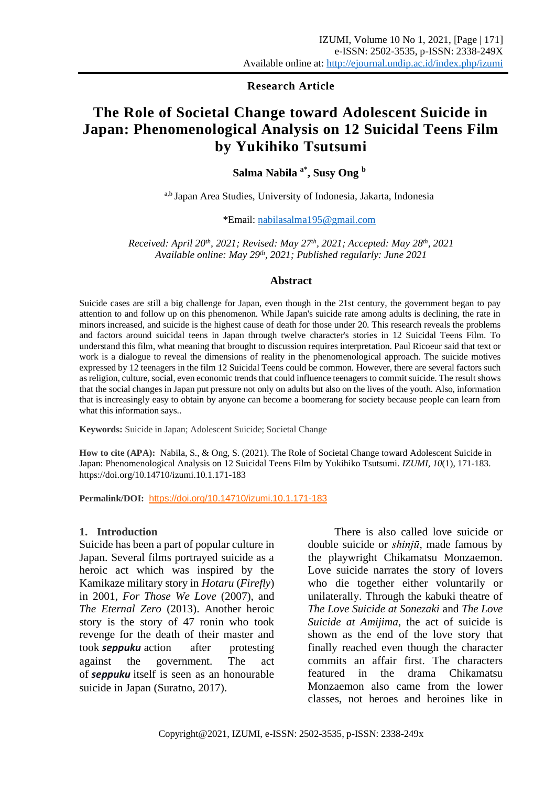**Research Article**

# **The Role of Societal Change toward Adolescent Suicide in Japan: Phenomenological Analysis on 12 Suicidal Teens Film by Yukihiko Tsutsumi**

**Salma Nabila a\*, Susy Ong <sup>b</sup>**

a,b Japan Area Studies, University of Indonesia, Jakarta, Indonesia

\*Email: [nabilasalma195@gmail.com](mailto:nabilasalma195@gmail.com)

*Received: April 20 th , 2021; Revised: May 27th , 2021; Accepted: May 28 th, 2021 Available online: May 29 th, 2021; Published regularly: June 2021*

#### **Abstract**

Suicide cases are still a big challenge for Japan, even though in the 21st century, the government began to pay attention to and follow up on this phenomenon. While Japan's suicide rate among adults is declining, the rate in minors increased, and suicide is the highest cause of death for those under 20. This research reveals the problems and factors around suicidal teens in Japan through twelve character's stories in 12 Suicidal Teens Film. To understand this film, what meaning that brought to discussion requires interpretation. Paul Ricoeur said that text or work is a dialogue to reveal the dimensions of reality in the phenomenological approach. The suicide motives expressed by 12 teenagers in the film 12 Suicidal Teens could be common. However, there are several factors such as religion, culture, social, even economic trends that could influence teenagers to commit suicide. The result shows that the social changes in Japan put pressure not only on adults but also on the lives of the youth. Also, information that is increasingly easy to obtain by anyone can become a boomerang for society because people can learn from what this information says..

**Keywords:** Suicide in Japan; Adolescent Suicide; Societal Change

**How to cite (APA):** Nabila, S., & Ong, S. (2021). The Role of Societal Change toward Adolescent Suicide in Japan: Phenomenological Analysis on 12 Suicidal Teens Film by Yukihiko Tsutsumi. *IZUMI, 10*(1), 171-183. https://doi.org/10.14710/izumi.10.1.171-183

**Permalink/DOI:** [https://doi.org/10.14710/izumi.10.1.171-1](https://doi.org/10.14710/izumi.9.2.112-120)83

#### **1. Introduction**

Suicide has been a part of popular culture in Japan. Several films portrayed suicide as a heroic act which was inspired by the Kamikaze military story in *Hotaru* (*Firefly*) in 2001, *For Those We Love* (2007), and *The Eternal Zero* (2013). Another heroic story is the story of 47 ronin who took revenge for the death of their master and took *seppuku* action after protesting against the government. The act of *seppuku* itself is seen as an honourable suicide in Japan (Suratno, 2017).

There is also called love suicide or double suicide or *shinjū*, made famous by the playwright Chikamatsu Monzaemon. Love suicide narrates the story of lovers who die together either voluntarily or unilaterally. Through the kabuki theatre of *The Love Suicide at Sonezaki* and *The Love Suicide at Amijima*, the act of suicide is shown as the end of the love story that finally reached even though the character commits an affair first. The characters featured in the drama Chikamatsu Monzaemon also came from the lower classes, not heroes and heroines like in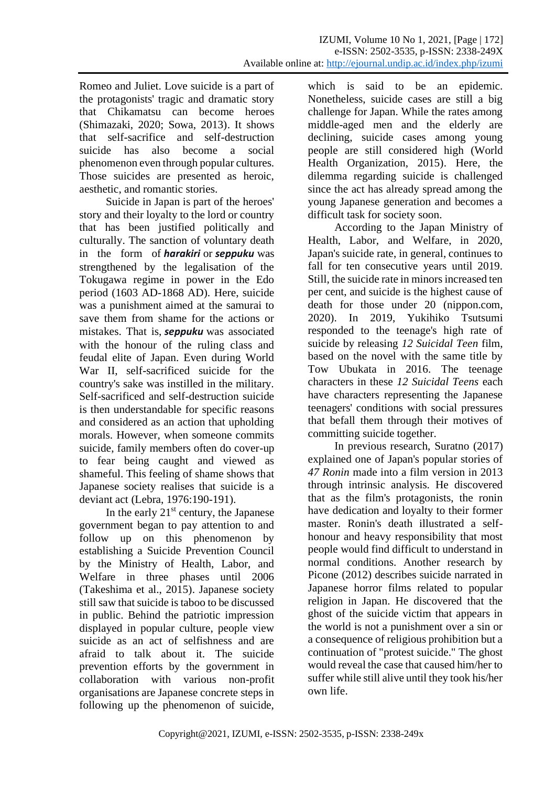Romeo and Juliet. Love suicide is a part of the protagonists' tragic and dramatic story that Chikamatsu can become heroes (Shimazaki, 2020; Sowa, 2013). It shows that self-sacrifice and self-destruction suicide has also become a social phenomenon even through popular cultures. Those suicides are presented as heroic, aesthetic, and romantic stories.

Suicide in Japan is part of the heroes' story and their loyalty to the lord or country that has been justified politically and culturally. The sanction of voluntary death in the form of *harakiri* or *seppuku* was strengthened by the legalisation of the Tokugawa regime in power in the Edo period (1603 AD-1868 AD). Here, suicide was a punishment aimed at the samurai to save them from shame for the actions or mistakes. That is, *seppuku* was associated with the honour of the ruling class and feudal elite of Japan. Even during World War II, self-sacrificed suicide for the country's sake was instilled in the military. Self-sacrificed and self-destruction suicide is then understandable for specific reasons and considered as an action that upholding morals. However, when someone commits suicide, family members often do cover-up to fear being caught and viewed as shameful. This feeling of shame shows that Japanese society realises that suicide is a deviant act (Lebra, 1976:190-191).

In the early  $21<sup>st</sup>$  century, the Japanese government began to pay attention to and follow up on this phenomenon by establishing a Suicide Prevention Council by the Ministry of Health, Labor, and Welfare in three phases until 2006 (Takeshima et al., 2015). Japanese society still saw that suicide is taboo to be discussed in public. Behind the patriotic impression displayed in popular culture, people view suicide as an act of selfishness and are afraid to talk about it. The suicide prevention efforts by the government in collaboration with various non-profit organisations are Japanese concrete steps in following up the phenomenon of suicide,

which is said to be an epidemic. Nonetheless, suicide cases are still a big challenge for Japan. While the rates among middle-aged men and the elderly are declining, suicide cases among young people are still considered high (World Health Organization, 2015). Here, the dilemma regarding suicide is challenged since the act has already spread among the young Japanese generation and becomes a difficult task for society soon.

According to the Japan Ministry of Health, Labor, and Welfare, in 2020, Japan's suicide rate, in general, continues to fall for ten consecutive years until 2019. Still, the suicide rate in minors increased ten per cent, and suicide is the highest cause of death for those under 20 (nippon.com, 2020). In 2019, Yukihiko Tsutsumi responded to the teenage's high rate of suicide by releasing *12 Suicidal Teen* film, based on the novel with the same title by Tow Ubukata in 2016. The teenage characters in these *12 Suicidal Teens* each have characters representing the Japanese teenagers' conditions with social pressures that befall them through their motives of committing suicide together.

In previous research, Suratno (2017) explained one of Japan's popular stories of *47 Ronin* made into a film version in 2013 through intrinsic analysis. He discovered that as the film's protagonists, the ronin have dedication and loyalty to their former master. Ronin's death illustrated a selfhonour and heavy responsibility that most people would find difficult to understand in normal conditions. Another research by Picone (2012) describes suicide narrated in Japanese horror films related to popular religion in Japan. He discovered that the ghost of the suicide victim that appears in the world is not a punishment over a sin or a consequence of religious prohibition but a continuation of "protest suicide." The ghost would reveal the case that caused him/her to suffer while still alive until they took his/her own life.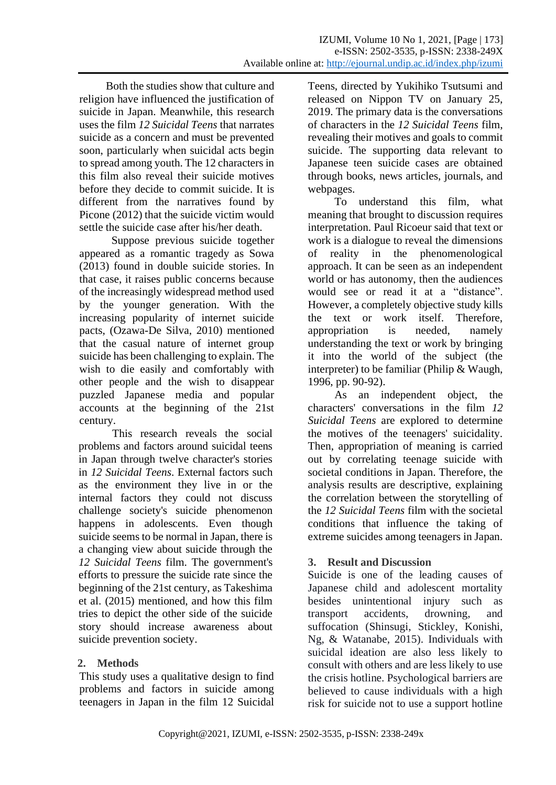Both the studies show that culture and religion have influenced the justification of suicide in Japan. Meanwhile, this research uses the film *12 Suicidal Teens* that narrates suicide as a concern and must be prevented soon, particularly when suicidal acts begin to spread among youth. The 12 characters in this film also reveal their suicide motives before they decide to commit suicide. It is different from the narratives found by Picone (2012) that the suicide victim would settle the suicide case after his/her death.

 Suppose previous suicide together appeared as a romantic tragedy as Sowa (2013) found in double suicide stories. In that case, it raises public concerns because of the increasingly widespread method used by the younger generation. With the increasing popularity of internet suicide pacts, (Ozawa-De Silva, 2010) mentioned that the casual nature of internet group suicide has been challenging to explain. The wish to die easily and comfortably with other people and the wish to disappear puzzled Japanese media and popular accounts at the beginning of the 21st century.

This research reveals the social problems and factors around suicidal teens in Japan through twelve character's stories in *12 Suicidal Teens*. External factors such as the environment they live in or the internal factors they could not discuss challenge society's suicide phenomenon happens in adolescents. Even though suicide seems to be normal in Japan, there is a changing view about suicide through the *12 Suicidal Teens* film. The government's efforts to pressure the suicide rate since the beginning of the 21st century, as Takeshima et al. (2015) mentioned, and how this film tries to depict the other side of the suicide story should increase awareness about suicide prevention society.

# **2. Methods**

This study uses a qualitative design to find problems and factors in suicide among teenagers in Japan in the film 12 Suicidal Teens, directed by Yukihiko Tsutsumi and released on Nippon TV on January 25, 2019. The primary data is the conversations of characters in the *12 Suicidal Teens* film, revealing their motives and goals to commit suicide. The supporting data relevant to Japanese teen suicide cases are obtained through books, news articles, journals, and webpages.

To understand this film, what meaning that brought to discussion requires interpretation. Paul Ricoeur said that text or work is a dialogue to reveal the dimensions of reality in the phenomenological approach. It can be seen as an independent world or has autonomy, then the audiences would see or read it at a "distance". However, a completely objective study kills the text or work itself. Therefore, appropriation is needed, namely understanding the text or work by bringing it into the world of the subject (the interpreter) to be familiar (Philip & Waugh, 1996, pp. 90-92).

As an independent object, the characters' conversations in the film *12 Suicidal Teens* are explored to determine the motives of the teenagers' suicidality. Then, appropriation of meaning is carried out by correlating teenage suicide with societal conditions in Japan. Therefore, the analysis results are descriptive, explaining the correlation between the storytelling of the *12 Suicidal Teens* film with the societal conditions that influence the taking of extreme suicides among teenagers in Japan.

# **3. Result and Discussion**

Suicide is one of the leading causes of Japanese child and adolescent mortality besides unintentional injury such as transport accidents, drowning, and suffocation (Shinsugi, Stickley, Konishi, Ng, & Watanabe, 2015). Individuals with suicidal ideation are also less likely to consult with others and are less likely to use the crisis hotline. Psychological barriers are believed to cause individuals with a high risk for suicide not to use a support hotline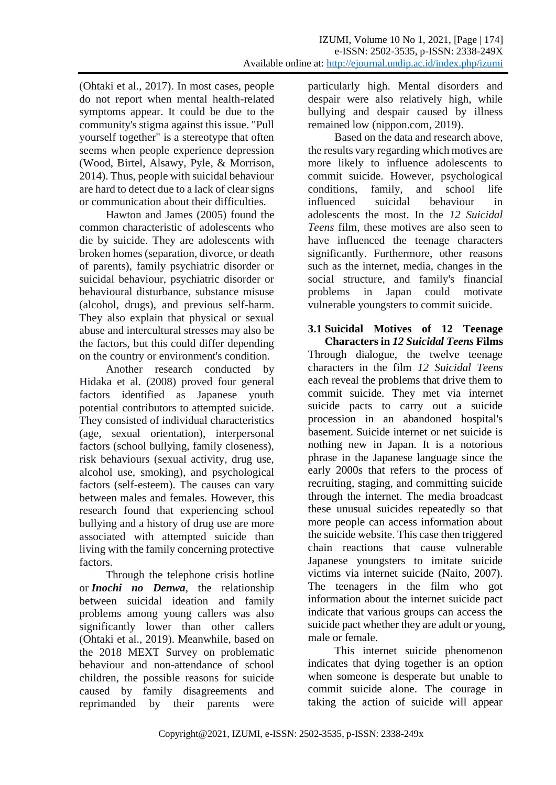(Ohtaki et al., 2017). In most cases, people do not report when mental health-related symptoms appear. It could be due to the community's stigma against this issue. "Pull yourself together" is a stereotype that often seems when people experience depression (Wood, Birtel, Alsawy, Pyle, & Morrison, 2014). Thus, people with suicidal behaviour are hard to detect due to a lack of clear signs or communication about their difficulties.

Hawton and James (2005) found the common characteristic of adolescents who die by suicide. They are adolescents with broken homes (separation, divorce, or death of parents), family psychiatric disorder or suicidal behaviour, psychiatric disorder or behavioural disturbance, substance misuse (alcohol, drugs), and previous self-harm. They also explain that physical or sexual abuse and intercultural stresses may also be the factors, but this could differ depending on the country or environment's condition.

Another research conducted by Hidaka et al. (2008) proved four general factors identified as Japanese youth potential contributors to attempted suicide. They consisted of individual characteristics (age, sexual orientation), interpersonal factors (school bullying, family closeness), risk behaviours (sexual activity, drug use, alcohol use, smoking), and psychological factors (self-esteem). The causes can vary between males and females. However, this research found that experiencing school bullying and a history of drug use are more associated with attempted suicide than living with the family concerning protective factors.

Through the telephone crisis hotline or *Inochi no Denwa*, the relationship between suicidal ideation and family problems among young callers was also significantly lower than other callers (Ohtaki et al., 2019). Meanwhile, based on the 2018 MEXT Survey on problematic behaviour and non-attendance of school children, the possible reasons for suicide caused by family disagreements and reprimanded by their parents were

particularly high. Mental disorders and despair were also relatively high, while bullying and despair caused by illness remained low (nippon.com, 2019).

Based on the data and research above, the results vary regarding which motives are more likely to influence adolescents to commit suicide. However, psychological conditions, family, and school life influenced suicidal behaviour in adolescents the most. In the *12 Suicidal Teens* film, these motives are also seen to have influenced the teenage characters significantly. Furthermore, other reasons such as the internet, media, changes in the social structure, and family's financial problems in Japan could motivate vulnerable youngsters to commit suicide.

**3.1 Suicidal Motives of 12 Teenage Characters in** *12 Suicidal Teens* **Films** Through dialogue, the twelve teenage characters in the film *12 Suicidal Teens* each reveal the problems that drive them to commit suicide. They met via internet suicide pacts to carry out a suicide procession in an abandoned hospital's basement. Suicide internet or net suicide is nothing new in Japan. It is a notorious phrase in the Japanese language since the early 2000s that refers to the process of recruiting, staging, and committing suicide through the internet. The media broadcast these unusual suicides repeatedly so that more people can access information about the suicide website. This case then triggered chain reactions that cause vulnerable Japanese youngsters to imitate suicide victims via internet suicide (Naito, 2007). The teenagers in the film who got information about the internet suicide pact indicate that various groups can access the suicide pact whether they are adult or young, male or female.

This internet suicide phenomenon indicates that dying together is an option when someone is desperate but unable to commit suicide alone. The courage in taking the action of suicide will appear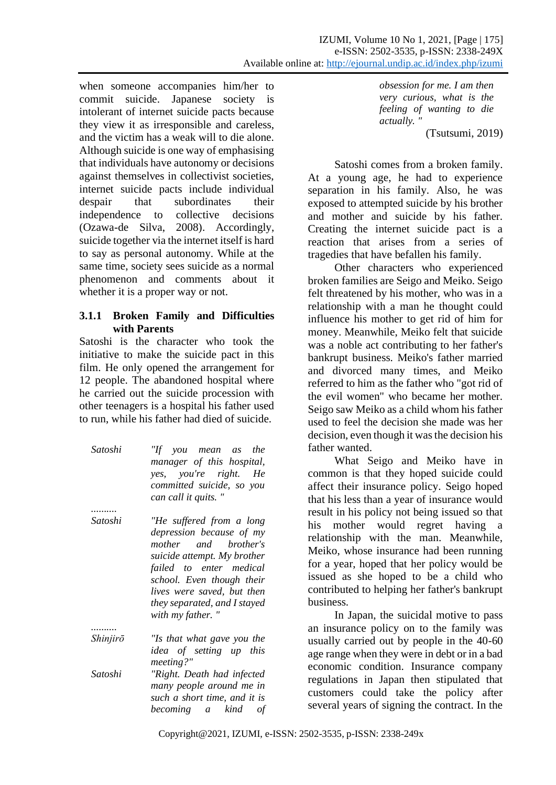when someone accompanies him/her to commit suicide. Japanese society is intolerant of internet suicide pacts because they view it as irresponsible and careless, and the victim has a weak will to die alone. Although suicide is one way of emphasising that individuals have autonomy or decisions against themselves in collectivist societies, internet suicide pacts include individual despair that subordinates their independence to collective decisions (Ozawa-de Silva, 2008). Accordingly, suicide together via the internet itself is hard to say as personal autonomy. While at the same time, society sees suicide as a normal phenomenon and comments about it whether it is a proper way or not.

### **3.1.1 Broken Family and Difficulties with Parents**

Satoshi is the character who took the initiative to make the suicide pact in this film. He only opened the arrangement for 12 people. The abandoned hospital where he carried out the suicide procession with other teenagers is a hospital his father used to run, while his father had died of suicide.

| Satoshi | "If you mean as the       |
|---------|---------------------------|
|         | manager of this hospital, |
|         | yes, you're right. He     |
|         | committed suicide, so you |
|         | can call it quits."       |
|         |                           |
| Satoshi | "He suffered from a long  |

*depression because of my mother and brother's suicide attempt. My brother failed to enter medical school. Even though their lives were saved, but then they separated, and I stayed with my father. "*

*Shinjirō "Is that what gave you the : idea of setting up this meeting?" Satoshi "Right. Death had infected : many people around me in such a short time, and it is becoming a kind of* 

*..........*

*obsession for me. I am then very curious, what is the feeling of wanting to die actually. "*

(Tsutsumi, 2019)

Satoshi comes from a broken family. At a young age, he had to experience separation in his family. Also, he was exposed to attempted suicide by his brother and mother and suicide by his father. Creating the internet suicide pact is a reaction that arises from a series of tragedies that have befallen his family.

Other characters who experienced broken families are Seigo and Meiko. Seigo felt threatened by his mother, who was in a relationship with a man he thought could influence his mother to get rid of him for money. Meanwhile, Meiko felt that suicide was a noble act contributing to her father's bankrupt business. Meiko's father married and divorced many times, and Meiko referred to him as the father who "got rid of the evil women" who became her mother. Seigo saw Meiko as a child whom his father used to feel the decision she made was her decision, even though it was the decision his father wanted.

What Seigo and Meiko have in common is that they hoped suicide could affect their insurance policy. Seigo hoped that his less than a year of insurance would result in his policy not being issued so that his mother would regret having a relationship with the man. Meanwhile, Meiko, whose insurance had been running for a year, hoped that her policy would be issued as she hoped to be a child who contributed to helping her father's bankrupt business.

In Japan, the suicidal motive to pass an insurance policy on to the family was usually carried out by people in the 40-60 age range when they were in debt or in a bad economic condition. Insurance company regulations in Japan then stipulated that customers could take the policy after several years of signing the contract. In the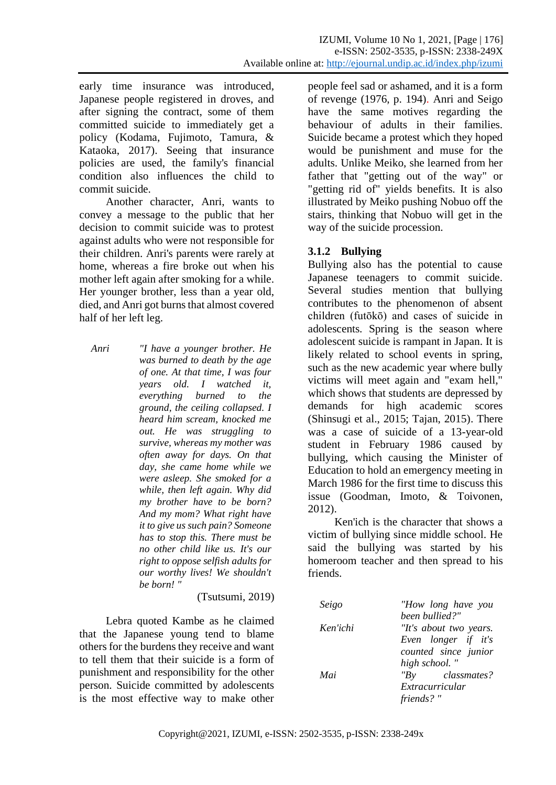early time insurance was introduced, Japanese people registered in droves, and after signing the contract, some of them committed suicide to immediately get a policy (Kodama, Fujimoto, Tamura, & Kataoka, 2017). Seeing that insurance policies are used, the family's financial condition also influences the child to commit suicide.

Another character, Anri, wants to convey a message to the public that her decision to commit suicide was to protest against adults who were not responsible for their children. Anri's parents were rarely at home, whereas a fire broke out when his mother left again after smoking for a while. Her younger brother, less than a year old, died, and Anri got burns that almost covered half of her left leg.

*Anri i I'l have a vounger brother. He was burned to death by the age of one. At that time, I was four years old. I watched it, everything burned to the ground, the ceiling collapsed. I heard him scream, knocked me out. He was struggling to survive, whereas my mother was often away for days. On that day, she came home while we were asleep. She smoked for a while, then left again. Why did my brother have to be born? And my mom? What right have it to give us such pain? Someone has to stop this. There must be no other child like us. It's our right to oppose selfish adults for our worthy lives! We shouldn't be born! "*

(Tsutsumi, 2019)

Lebra quoted Kambe as he claimed that the Japanese young tend to blame others for the burdens they receive and want to tell them that their suicide is a form of punishment and responsibility for the other person. Suicide committed by adolescents is the most effective way to make other people feel sad or ashamed, and it is a form of revenge (1976, p. 194). Anri and Seigo have the same motives regarding the behaviour of adults in their families. Suicide became a protest which they hoped would be punishment and muse for the adults. Unlike Meiko, she learned from her father that "getting out of the way" or "getting rid of" yields benefits. It is also illustrated by Meiko pushing Nobuo off the stairs, thinking that Nobuo will get in the way of the suicide procession.

# **3.1.2 Bullying**

Bullying also has the potential to cause Japanese teenagers to commit suicide. Several studies mention that bullying contributes to the phenomenon of absent children (futōkō) and cases of suicide in adolescents. Spring is the season where adolescent suicide is rampant in Japan. It is likely related to school events in spring, such as the new academic year where bully victims will meet again and "exam hell," which shows that students are depressed by demands for high academic scores (Shinsugi et al., 2015; Tajan, 2015). There was a case of suicide of a 13-year-old student in February 1986 caused by bullying, which causing the Minister of Education to hold an emergency meeting in March 1986 for the first time to discuss this issue (Goodman, Imoto, & Toivonen, 2012).

Ken'ich is the character that shows a victim of bullying since middle school. He said the bullying was started by his homeroom teacher and then spread to his friends.

| Seigo    | "How long have you     |
|----------|------------------------|
|          | been bullied?"         |
| Ken'ichi | "It's about two years. |
|          | Even longer if it's    |
|          | counted since junior   |
|          | high school."          |
| Mai      | $"Bv$ classmates?      |
|          | Extracurricular        |
|          | friends?"              |
|          |                        |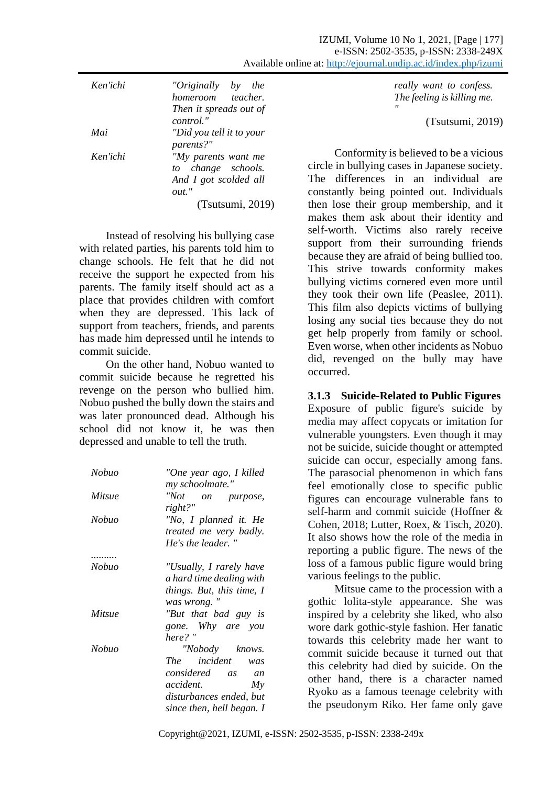| Ken'ichi | "Originally<br>the<br>by | really want to confess.                       |
|----------|--------------------------|-----------------------------------------------|
|          | homeroom<br>teacher.     | The feeling is killing me.                    |
|          | Then it spreads out of   | $^{\prime\prime}$                             |
|          | control."                | (Tsutsumi, 2019)                              |
| Mai      | "Did you tell it to your |                                               |
|          | parents?"                |                                               |
| Ken'ichi | "My parents want me      | Conformity is believed to be a vicious        |
|          | change schools.<br>to    | circle in bullying cases in Japanese society. |
|          | And I got scolded all    | The differences in an individual are          |
|          | out."                    | constantly being pointed out. Individuals     |
|          |                          |                                               |

(Tsutsumi, 2019)

Instead of resolving his bullying case with related parties, his parents told him to change schools. He felt that he did not receive the support he expected from his parents. The family itself should act as a place that provides children with comfort when they are depressed. This lack of support from teachers, friends, and parents has made him depressed until he intends to commit suicide.

On the other hand, Nobuo wanted to commit suicide because he regretted his revenge on the person who bullied him. Nobuo pushed the bully down the stairs and was later pronounced dead. Although his school did not know it, he was then depressed and unable to tell the truth.

| Nobuo  | "One year ago, I killed<br>my schoolmate."                                  |
|--------|-----------------------------------------------------------------------------|
| Mitsue | "Not on purpose,<br>right?"                                                 |
| Nobuo  | "No, I planned it. He<br><i>treated me very badly.</i><br>He's the leader." |
|        |                                                                             |
| Nobuo  | "Usually, I rarely have<br>a hard time dealing with                         |
|        | things. But, this time, I                                                   |
|        | was wrong.                                                                  |
| Mitsue | "But that bad guy is                                                        |
|        | gone. Why are you<br>here?"                                                 |
| Nobuo  | "Nobody knows.                                                              |
|        | The incident was                                                            |
|        | considered as<br>an                                                         |
|        | accident.<br>My                                                             |
|        | disturbances ended, but                                                     |
|        | since then, hell began. I                                                   |

then lose their group membership, and it makes them ask about their identity and self-worth. Victims also rarely receive support from their surrounding friends because they are afraid of being bullied too. This strive towards conformity makes bullying victims cornered even more until they took their own life (Peaslee, 2011). This film also depicts victims of bullying losing any social ties because they do not get help properly from family or school. Even worse, when other incidents as Nobuo did, revenged on the bully may have occurred.

**3.1.3 Suicide-Related to Public Figures** Exposure of public figure's suicide by media may affect copycats or imitation for vulnerable youngsters. Even though it may not be suicide, suicide thought or attempted suicide can occur, especially among fans. The parasocial phenomenon in which fans feel emotionally close to specific public figures can encourage vulnerable fans to self-harm and commit suicide (Hoffner & Cohen, 2018; Lutter, Roex, & Tisch, 2020). It also shows how the role of the media in reporting a public figure. The news of the loss of a famous public figure would bring various feelings to the public.

Mitsue came to the procession with a gothic lolita-style appearance. She was inspired by a celebrity she liked, who also wore dark gothic-style fashion. Her fanatic towards this celebrity made her want to commit suicide because it turned out that this celebrity had died by suicide. On the other hand, there is a character named Ryoko as a famous teenage celebrity with the pseudonym Riko. Her fame only gave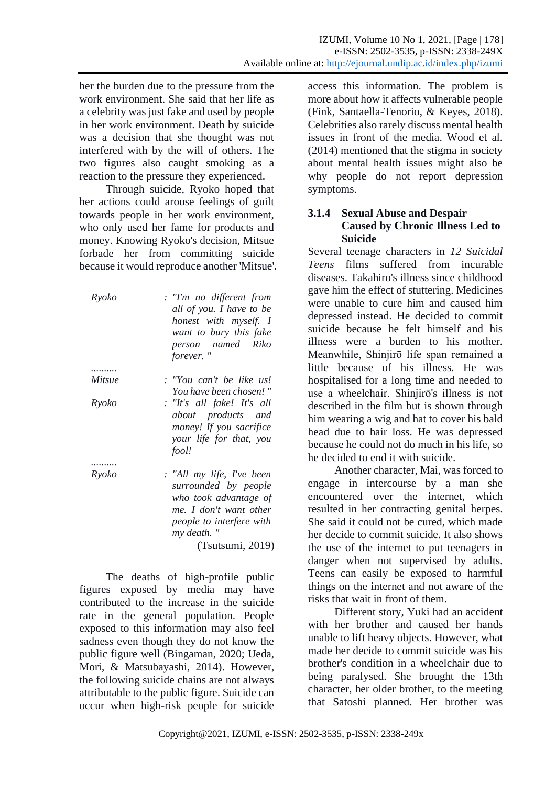her the burden due to the pressure from the work environment. She said that her life as a celebrity was just fake and used by people in her work environment. Death by suicide was a decision that she thought was not interfered with by the will of others. The two figures also caught smoking as a reaction to the pressure they experienced.

Through suicide, Ryoko hoped that her actions could arouse feelings of guilt towards people in her work environment, who only used her fame for products and money. Knowing Ryoko's decision, Mitsue forbade her from committing suicide because it would reproduce another 'Mitsue'.

| Ryoko  | : "I'm no different from<br>all of you. I have to be<br>honest with myself. I<br>want to bury this fake<br>person named Riko<br>forever." |
|--------|-------------------------------------------------------------------------------------------------------------------------------------------|
|        |                                                                                                                                           |
| Mitsue | : "You can't be like us!                                                                                                                  |
|        | You have been chosen!"                                                                                                                    |
| Ryoko  | : "It's all fake! It's all                                                                                                                |
|        | about products and                                                                                                                        |
|        | money! If you sacrifice                                                                                                                   |
|        | your life for that, you                                                                                                                   |
|        | fool!                                                                                                                                     |
|        |                                                                                                                                           |
| Ryoko  | : "All my life, I've been<br>surrounded by people<br>who took advantage of                                                                |
|        | me. I don't want other                                                                                                                    |
|        |                                                                                                                                           |
|        | people to interfere with                                                                                                                  |

*my death. "* (Tsutsumi, 2019)

The deaths of high-profile public figures exposed by media may have contributed to the increase in the suicide rate in the general population. People exposed to this information may also feel sadness even though they do not know the public figure well (Bingaman, 2020; Ueda, Mori, & Matsubayashi, 2014). However, the following suicide chains are not always attributable to the public figure. Suicide can occur when high-risk people for suicide access this information. The problem is more about how it affects vulnerable people (Fink, Santaella-Tenorio, & Keyes, 2018). Celebrities also rarely discuss mental health issues in front of the media. Wood et al. (2014) mentioned that the stigma in society about mental health issues might also be why people do not report depression symptoms.

# **3.1.4 Sexual Abuse and Despair Caused by Chronic Illness Led to Suicide**

Several teenage characters in *12 Suicidal Teens* films suffered from incurable diseases. Takahiro's illness since childhood gave him the effect of stuttering. Medicines were unable to cure him and caused him depressed instead. He decided to commit suicide because he felt himself and his illness were a burden to his mother. Meanwhile, Shinjirō life span remained a little because of his illness. He was hospitalised for a long time and needed to use a wheelchair. Shinjirō's illness is not described in the film but is shown through him wearing a wig and hat to cover his bald head due to hair loss. He was depressed because he could not do much in his life, so he decided to end it with suicide.

Another character, Mai, was forced to engage in intercourse by a man she encountered over the internet, which resulted in her contracting genital herpes. She said it could not be cured, which made her decide to commit suicide. It also shows the use of the internet to put teenagers in danger when not supervised by adults. Teens can easily be exposed to harmful things on the internet and not aware of the risks that wait in front of them.

Different story, Yuki had an accident with her brother and caused her hands unable to lift heavy objects. However, what made her decide to commit suicide was his brother's condition in a wheelchair due to being paralysed. She brought the 13th character, her older brother, to the meeting that Satoshi planned. Her brother was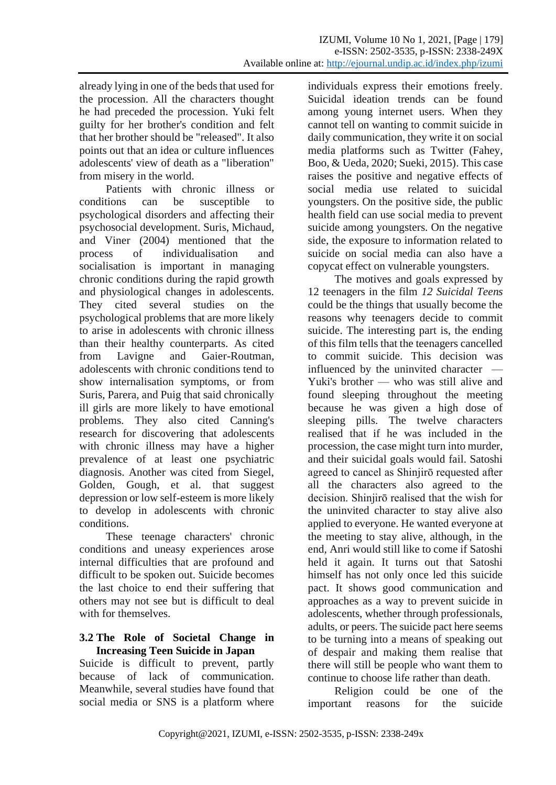already lying in one of the beds that used for the procession. All the characters thought he had preceded the procession. Yuki felt guilty for her brother's condition and felt that her brother should be "released". It also points out that an idea or culture influences adolescents' view of death as a "liberation" from misery in the world.

Patients with chronic illness or conditions can be susceptible to psychological disorders and affecting their psychosocial development. Suris, Michaud, and Viner (2004) mentioned that the process of individualisation and socialisation is important in managing chronic conditions during the rapid growth and physiological changes in adolescents. They cited several studies on the psychological problems that are more likely to arise in adolescents with chronic illness than their healthy counterparts. As cited from Lavigne and Gaier-Routman, adolescents with chronic conditions tend to show internalisation symptoms, or from Suris, Parera, and Puig that said chronically ill girls are more likely to have emotional problems. They also cited Canning's research for discovering that adolescents with chronic illness may have a higher prevalence of at least one psychiatric diagnosis. Another was cited from Siegel, Golden, Gough, et al. that suggest depression or low self-esteem is more likely to develop in adolescents with chronic conditions.

These teenage characters' chronic conditions and uneasy experiences arose internal difficulties that are profound and difficult to be spoken out. Suicide becomes the last choice to end their suffering that others may not see but is difficult to deal with for themselves.

#### **3.2 The Role of Societal Change in Increasing Teen Suicide in Japan**

Suicide is difficult to prevent, partly because of lack of communication. Meanwhile, several studies have found that social media or SNS is a platform where

individuals express their emotions freely. Suicidal ideation trends can be found among young internet users. When they cannot tell on wanting to commit suicide in daily communication, they write it on social media platforms such as Twitter (Fahey, Boo, & Ueda, 2020; Sueki, 2015). This case raises the positive and negative effects of social media use related to suicidal youngsters. On the positive side, the public health field can use social media to prevent suicide among youngsters. On the negative side, the exposure to information related to suicide on social media can also have a copycat effect on vulnerable youngsters.

The motives and goals expressed by 12 teenagers in the film *12 Suicidal Teens* could be the things that usually become the reasons why teenagers decide to commit suicide. The interesting part is, the ending of this film tells that the teenagers cancelled to commit suicide. This decision was influenced by the uninvited character — Yuki's brother — who was still alive and found sleeping throughout the meeting because he was given a high dose of sleeping pills. The twelve characters realised that if he was included in the procession, the case might turn into murder, and their suicidal goals would fail. Satoshi agreed to cancel as Shinjirō requested after all the characters also agreed to the decision. Shinjirō realised that the wish for the uninvited character to stay alive also applied to everyone. He wanted everyone at the meeting to stay alive, although, in the end, Anri would still like to come if Satoshi held it again. It turns out that Satoshi himself has not only once led this suicide pact. It shows good communication and approaches as a way to prevent suicide in adolescents, whether through professionals, adults, or peers. The suicide pact here seems to be turning into a means of speaking out of despair and making them realise that there will still be people who want them to continue to choose life rather than death.

Religion could be one of the important reasons for the suicide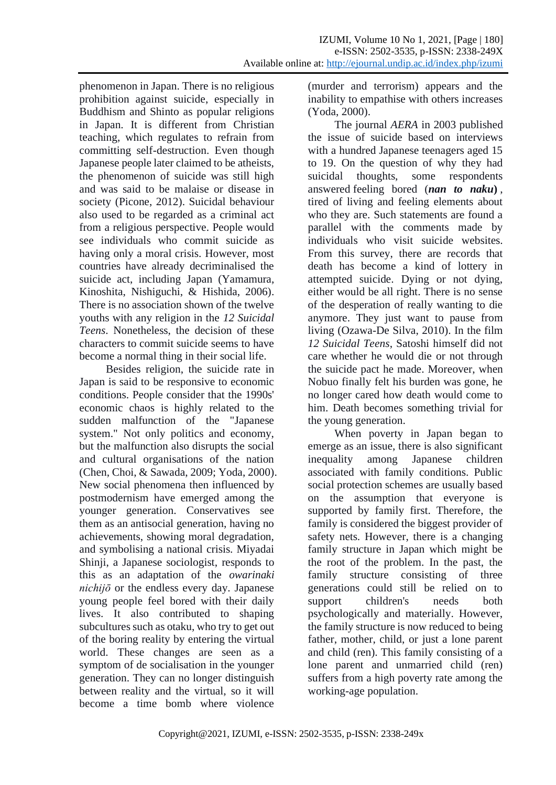phenomenon in Japan. There is no religious prohibition against suicide, especially in Buddhism and Shinto as popular religions in Japan. It is different from Christian teaching, which regulates to refrain from committing self-destruction. Even though Japanese people later claimed to be atheists, the phenomenon of suicide was still high and was said to be malaise or disease in society (Picone, 2012). Suicidal behaviour also used to be regarded as a criminal act from a religious perspective. People would see individuals who commit suicide as having only a moral crisis. However, most countries have already decriminalised the suicide act, including Japan (Yamamura, Kinoshita, Nishiguchi, & Hishida, 2006). There is no association shown of the twelve youths with any religion in the *12 Suicidal Teens*. Nonetheless, the decision of these characters to commit suicide seems to have become a normal thing in their social life.

Besides religion, the suicide rate in Japan is said to be responsive to economic conditions. People consider that the 1990s' economic chaos is highly related to the sudden malfunction of the "Japanese system." Not only politics and economy, but the malfunction also disrupts the social and cultural organisations of the nation (Chen, Choi, & Sawada, 2009; Yoda, 2000). New social phenomena then influenced by postmodernism have emerged among the younger generation. Conservatives see them as an antisocial generation, having no achievements, showing moral degradation, and symbolising a national crisis. Miyadai Shinji, a Japanese sociologist, responds to this as an adaptation of the *owarinaki nichijō* or the endless every day. Japanese young people feel bored with their daily lives. It also contributed to shaping subcultures such as otaku, who try to get out of the boring reality by entering the virtual world. These changes are seen as a symptom of de socialisation in the younger generation. They can no longer distinguish between reality and the virtual, so it will become a time bomb where violence

(murder and terrorism) appears and the inability to empathise with others increases (Yoda, 2000).

The journal *AERA* in 2003 published the issue of suicide based on interviews with a hundred Japanese teenagers aged 15 to 19. On the question of why they had suicidal thoughts, some respondents answered feeling bored (*nan to naku***)** , tired of living and feeling elements about who they are. Such statements are found a parallel with the comments made by individuals who visit suicide websites. From this survey, there are records that death has become a kind of lottery in attempted suicide. Dying or not dying, either would be all right. There is no sense of the desperation of really wanting to die anymore. They just want to pause from living (Ozawa-De Silva, 2010). In the film *12 Suicidal Teens*, Satoshi himself did not care whether he would die or not through the suicide pact he made. Moreover, when Nobuo finally felt his burden was gone, he no longer cared how death would come to him. Death becomes something trivial for the young generation.

When poverty in Japan began to emerge as an issue, there is also significant inequality among Japanese children associated with family conditions. Public social protection schemes are usually based on the assumption that everyone is supported by family first. Therefore, the family is considered the biggest provider of safety nets. However, there is a changing family structure in Japan which might be the root of the problem. In the past, the family structure consisting of three generations could still be relied on to support children's needs both psychologically and materially. However, the family structure is now reduced to being father, mother, child, or just a lone parent and child (ren). This family consisting of a lone parent and unmarried child (ren) suffers from a high poverty rate among the working-age population.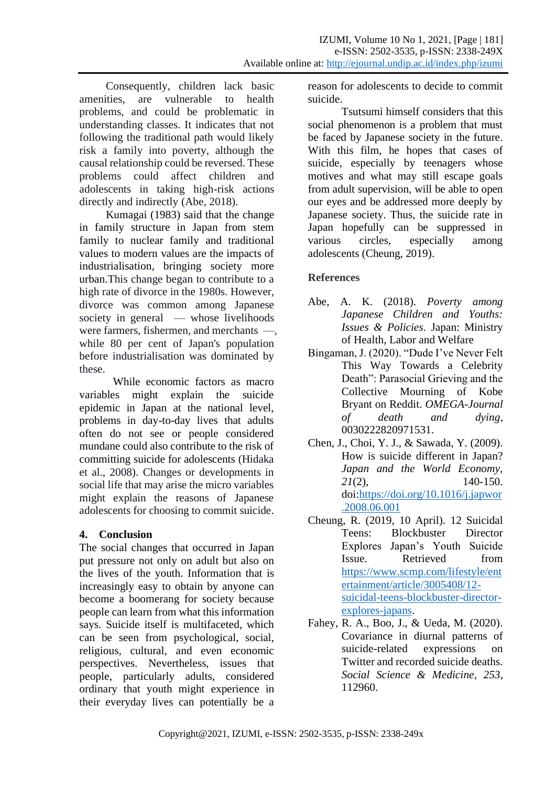Consequently, children lack basic amenities, are vulnerable to health problems, and could be problematic in understanding classes. It indicates that not following the traditional path would likely risk a family into poverty, although the causal relationship could be reversed. These problems could affect children and adolescents in taking high-risk actions directly and indirectly (Abe, 2018).

Kumagai (1983) said that the change in family structure in Japan from stem family to nuclear family and traditional values to modern values are the impacts of industrialisation, bringing society more urban.This change began to contribute to a high rate of divorce in the 1980s. However, divorce was common among Japanese society in general — whose livelihoods were farmers, fishermen, and merchants —, while 80 per cent of Japan's population before industrialisation was dominated by these.

While economic factors as macro variables might explain the suicide epidemic in Japan at the national level, problems in day-to-day lives that adults often do not see or people considered mundane could also contribute to the risk of committing suicide for adolescents (Hidaka et al., 2008). Changes or developments in social life that may arise the micro variables might explain the reasons of Japanese adolescents for choosing to commit suicide.

# **4. Conclusion**

The social changes that occurred in Japan put pressure not only on adult but also on the lives of the youth. Information that is increasingly easy to obtain by anyone can become a boomerang for society because people can learn from what this information says. Suicide itself is multifaceted, which can be seen from psychological, social, religious, cultural, and even economic perspectives. Nevertheless, issues that people, particularly adults, considered ordinary that youth might experience in their everyday lives can potentially be a

reason for adolescents to decide to commit suicide.

Tsutsumi himself considers that this social phenomenon is a problem that must be faced by Japanese society in the future. With this film, he hopes that cases of suicide, especially by teenagers whose motives and what may still escape goals from adult supervision, will be able to open our eyes and be addressed more deeply by Japanese society. Thus, the suicide rate in Japan hopefully can be suppressed in various circles, especially among adolescents (Cheung, 2019).

# **References**

- Abe, A. K. (2018). *Poverty among Japanese Children and Youths: Issues & Policies*. Japan: Ministry of Health, Labor and Welfare
- Bingaman, J. (2020). "Dude I've Never Felt This Way Towards a Celebrity Death": Parasocial Grieving and the Collective Mourning of Kobe Bryant on Reddit. *OMEGA-Journal of death and dying*, 0030222820971531.
- Chen, J., Choi, Y. J., & Sawada, Y. (2009). How is suicide different in Japan? *Japan and the World Economy, 21*(2), 140-150. doi[:https://doi.org/10.1016/j.japwor](https://doi.org/10.1016/j.japwor.2008.06.001) [.2008.06.001](https://doi.org/10.1016/j.japwor.2008.06.001)
- Cheung, R. (2019, 10 April). 12 Suicidal Teens: Blockbuster Director Explores Japan's Youth Suicide Issue. Retrieved from [https://www.scmp.com/lifestyle/ent](https://www.scmp.com/lifestyle/entertainment/article/3005408/12-suicidal-teens-blockbuster-director-explores-japans) [ertainment/article/3005408/12](https://www.scmp.com/lifestyle/entertainment/article/3005408/12-suicidal-teens-blockbuster-director-explores-japans) [suicidal-teens-blockbuster-director](https://www.scmp.com/lifestyle/entertainment/article/3005408/12-suicidal-teens-blockbuster-director-explores-japans)[explores-japans.](https://www.scmp.com/lifestyle/entertainment/article/3005408/12-suicidal-teens-blockbuster-director-explores-japans)
- Fahey, R. A., Boo, J., & Ueda, M. (2020). Covariance in diurnal patterns of suicide-related expressions on Twitter and recorded suicide deaths. *Social Science & Medicine, 253*, 112960.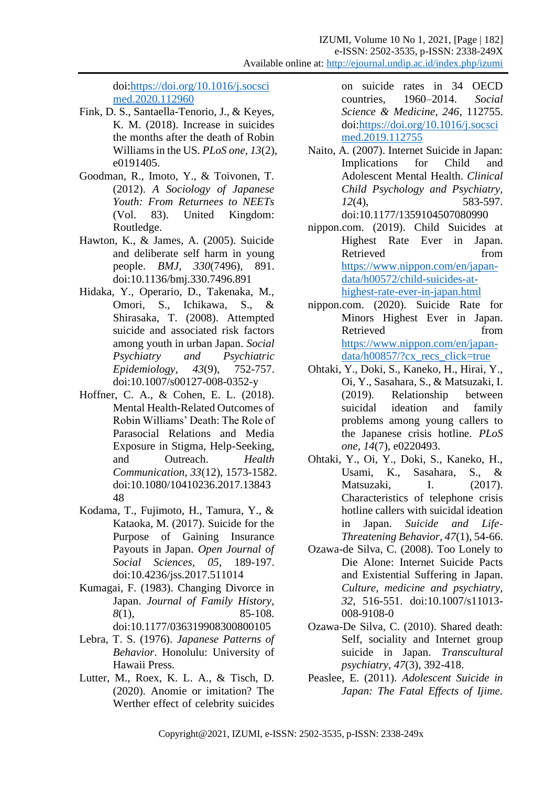doi[:https://doi.org/10.1016/j.socsci](https://doi.org/10.1016/j.socscimed.2020.112960) [med.2020.112960](https://doi.org/10.1016/j.socscimed.2020.112960)

- Fink, D. S., Santaella-Tenorio, J., & Keyes, K. M. (2018). Increase in suicides the months after the death of Robin Williams in the US. *PLoS one, 13*(2), e0191405.
- Goodman, R., Imoto, Y., & Toivonen, T. (2012). *A Sociology of Japanese Youth: From Returnees to NEETs* (Vol. 83). United Kingdom: Routledge.
- Hawton, K., & James, A. (2005). Suicide and deliberate self harm in young people. *BMJ, 330*(7496), 891. doi:10.1136/bmj.330.7496.891
- Hidaka, Y., Operario, D., Takenaka, M., Omori, S., Ichikawa, S., & Shirasaka, T. (2008). Attempted suicide and associated risk factors among youth in urban Japan. *Social Psychiatry and Psychiatric Epidemiology, 43*(9), 752-757. doi:10.1007/s00127-008-0352-y
- Hoffner, C. A., & Cohen, E. L. (2018). Mental Health-Related Outcomes of Robin Williams' Death: The Role of Parasocial Relations and Media Exposure in Stigma, Help-Seeking, and Outreach. *Health Communication, 33*(12), 1573-1582. doi:10.1080/10410236.2017.13843 48
- Kodama, T., Fujimoto, H., Tamura, Y., & Kataoka, M. (2017). Suicide for the Purpose of Gaining Insurance Payouts in Japan. *Open Journal of Social Sciences, 05*, 189-197. doi:10.4236/jss.2017.511014
- Kumagai, F. (1983). Changing Divorce in Japan. *Journal of Family History, 8*(1), 85-108. doi:10.1177/036319908300800105
- Lebra, T. S. (1976). *Japanese Patterns of Behavior*. Honolulu: University of Hawaii Press.
- Lutter, M., Roex, K. L. A., & Tisch, D. (2020). Anomie or imitation? The Werther effect of celebrity suicides

on suicide rates in 34 OECD countries, 1960–2014. *Social Science & Medicine, 246*, 112755. doi[:https://doi.org/10.1016/j.socsci](https://doi.org/10.1016/j.socscimed.2019.112755) [med.2019.112755](https://doi.org/10.1016/j.socscimed.2019.112755)

- Naito, A. (2007). Internet Suicide in Japan: Implications for Child and Adolescent Mental Health. *Clinical Child Psychology and Psychiatry, 12*(4), 583-597. doi:10.1177/1359104507080990
- nippon.com. (2019). Child Suicides at Highest Rate Ever in Japan. Retrieved from [https://www.nippon.com/en/japan](https://www.nippon.com/en/japan-data/h00572/child-suicides-at-highest-rate-ever-in-japan.html)[data/h00572/child-suicides-at](https://www.nippon.com/en/japan-data/h00572/child-suicides-at-highest-rate-ever-in-japan.html)[highest-rate-ever-in-japan.html](https://www.nippon.com/en/japan-data/h00572/child-suicides-at-highest-rate-ever-in-japan.html)
- nippon.com. (2020). Suicide Rate for Minors Highest Ever in Japan. Retrieved from [https://www.nippon.com/en/japan](https://www.nippon.com/en/japan-data/h00857/?cx_recs_click=true)[data/h00857/?cx\\_recs\\_click=true](https://www.nippon.com/en/japan-data/h00857/?cx_recs_click=true)
- Ohtaki, Y., Doki, S., Kaneko, H., Hirai, Y., Oi, Y., Sasahara, S., & Matsuzaki, I. (2019). Relationship between suicidal ideation and family problems among young callers to the Japanese crisis hotline. *PLoS one, 14*(7), e0220493.
- Ohtaki, Y., Oi, Y., Doki, S., Kaneko, H., Usami, K., Sasahara, S., & Matsuzaki, I. (2017). Characteristics of telephone crisis hotline callers with suicidal ideation in Japan. *Suicide and Life‐ Threatening Behavior, 47*(1), 54-66.
- Ozawa-de Silva, C. (2008). Too Lonely to Die Alone: Internet Suicide Pacts and Existential Suffering in Japan. *Culture, medicine and psychiatry, 32*, 516-551. doi:10.1007/s11013- 008-9108-0
- Ozawa-De Silva, C. (2010). Shared death: Self, sociality and Internet group suicide in Japan. *Transcultural psychiatry, 47*(3), 392-418.
- Peaslee, E. (2011). *Adolescent Suicide in Japan: The Fatal Effects of Ijime.*